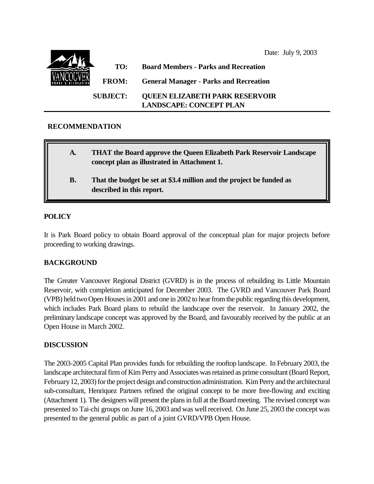Date: July 9, 2003 **TO: Board Members - Parks and Recreation FROM: General Manager - Parks and Recreation SUBJECT: QUEEN ELIZABETH PARK RESERVOIR LANDSCAPE: CONCEPT PLAN**

# **RECOMMENDATION**

| A.        | <b>THAT the Board approve the Queen Elizabeth Park Reservoir Landscape</b><br>concept plan as illustrated in Attachment 1. |
|-----------|----------------------------------------------------------------------------------------------------------------------------|
| <b>B.</b> | That the budget be set at \$3.4 million and the project be funded as<br>described in this report.                          |

# **POLICY**

It is Park Board policy to obtain Board approval of the conceptual plan for major projects before proceeding to working drawings.

# **BACKGROUND**

The Greater Vancouver Regional District (GVRD) is in the process of rebuilding its Little Mountain Reservoir, with completion anticipated for December 2003. The GVRD and Vancouver Park Board (VPB) held two Open Houses in 2001 and one in 2002 to hear from the public regarding this development, which includes Park Board plans to rebuild the landscape over the reservoir. In January 2002, the preliminary landscape concept was approved by the Board, and favourably received by the public at an Open House in March 2002.

## **DISCUSSION**

The 2003-2005 Capital Plan provides funds for rebuilding the rooftop landscape. In February 2003, the landscape architectural firm of Kim Perry and Associates was retained as prime consultant (Board Report, February 12, 2003) for the project design and construction administration. Kim Perry and the architectural sub-consultant, Henriquez Partners refined the original concept to be more free-flowing and exciting (Attachment 1). The designers will present the plans in full at the Board meeting. The revised concept was presented to Tai-chi groups on June 16, 2003 and was well received. On June 25, 2003 the concept was presented to the general public as part of a joint GVRD/VPB Open House.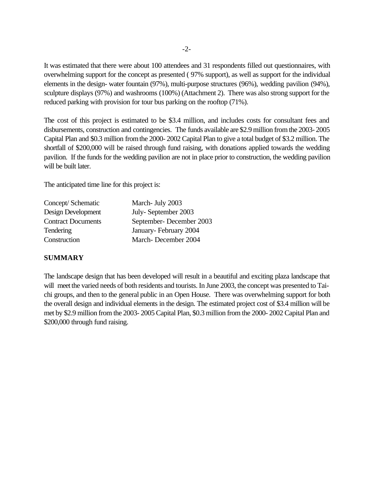It was estimated that there were about 100 attendees and 31 respondents filled out questionnaires, with overwhelming support for the concept as presented ( 97% support), as well as support for the individual elements in the design- water fountain (97%), multi-purpose structures (96%), wedding pavilion (94%), sculpture displays (97%) and washrooms (100%) (Attachment 2). There was also strong support for the reduced parking with provision for tour bus parking on the rooftop (71%).

The cost of this project is estimated to be \$3.4 million, and includes costs for consultant fees and disbursements, construction and contingencies. The funds available are \$2.9 million from the 2003- 2005 Capital Plan and \$0.3 million from the 2000- 2002 Capital Plan to give a total budget of \$3.2 million. The shortfall of \$200,000 will be raised through fund raising, with donations applied towards the wedding pavilion. If the funds for the wedding pavilion are not in place prior to construction, the wedding pavilion will be built later.

The anticipated time line for this project is:

| Concept/Schematic         | March- July 2003        |
|---------------------------|-------------------------|
| Design Development        | July-September 2003     |
| <b>Contract Documents</b> | September-December 2003 |
| Tendering                 | January-February 2004   |
| Construction              | March-December 2004     |

# **SUMMARY**

The landscape design that has been developed will result in a beautiful and exciting plaza landscape that will meet the varied needs of both residents and tourists. In June 2003, the concept was presented to Taichi groups, and then to the general public in an Open House. There was overwhelming support for both the overall design and individual elements in the design. The estimated project cost of \$3.4 million will be met by \$2.9 million from the 2003- 2005 Capital Plan, \$0.3 million from the 2000- 2002 Capital Plan and \$200,000 through fund raising.